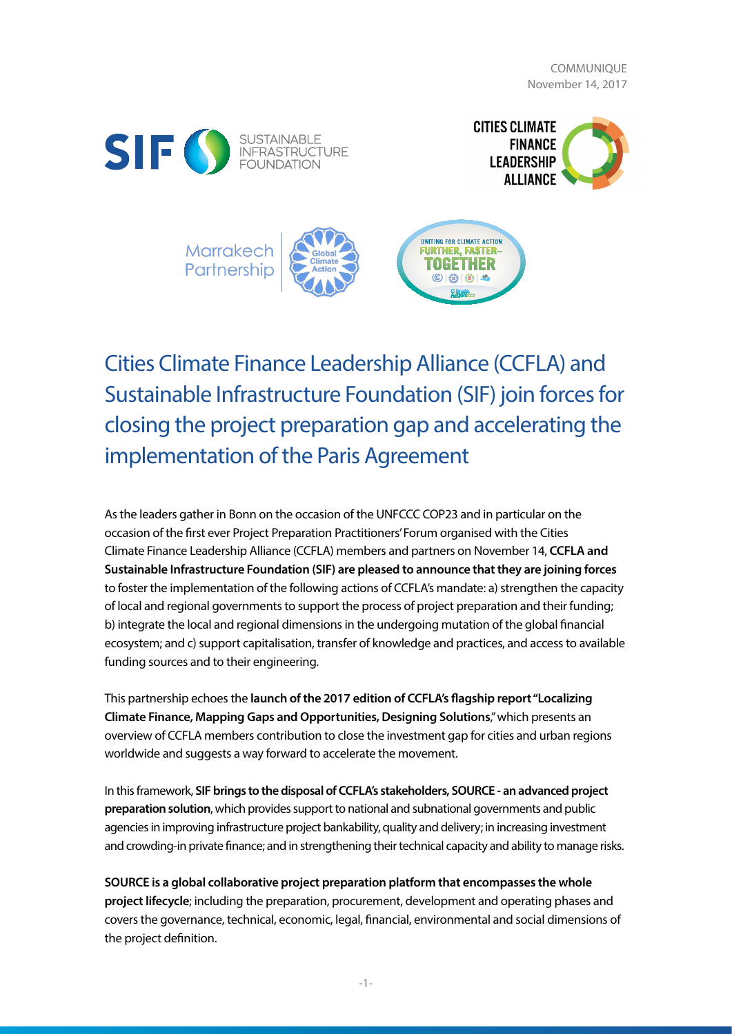COMMUNIQUE November 14, 2017







Cities Climate Finance Leadership Alliance (CCFLA) and Sustainable Infrastructure Foundation (SIF) join forces for closing the project preparation gap and accelerating the implementation of the Paris Agreement

As the leaders gather in Bonn on the occasion of the UNFCCC COP23 and in particular on the occasion of the first ever Project Preparation Practitioners' Forum organised with the Cities Climate Finance Leadership Alliance (CCFLA) members and partners on November 14, **CCFLA and Sustainable Infrastructure Foundation (SIF) are pleased to announce that they are joining forces** to foster the implementation of the following actions of CCFLA's mandate: a) strengthen the capacity of local and regional governments to support the process of project preparation and their funding; b) integrate the local and regional dimensions in the undergoing mutation of the global financial ecosystem; and c) support capitalisation, transfer of knowledge and practices, and access to available funding sources and to their engineering.

This partnership echoes the **launch of the 2017 edition of CCFLA's flagship report "Localizing Climate Finance, Mapping Gaps and Opportunities, Designing Solutions**," which presents an overview of CCFLA members contribution to close the investment gap for cities and urban regions worldwide and suggests a way forward to accelerate the movement.

In this framework, **SIF brings to the disposal of CCFLA's stakeholders, SOURCE - an advanced project preparation solution**, which provides support to national and subnational governments and public agencies in improving infrastructure project bankability, quality and delivery; in increasing investment and crowding-in private finance; and in strengthening their technical capacity and ability to manage risks.

**SOURCE is a global collaborative project preparation platform that encompasses the whole project lifecycle**; including the preparation, procurement, development and operating phases and covers the governance, technical, economic, legal, financial, environmental and social dimensions of the project definition.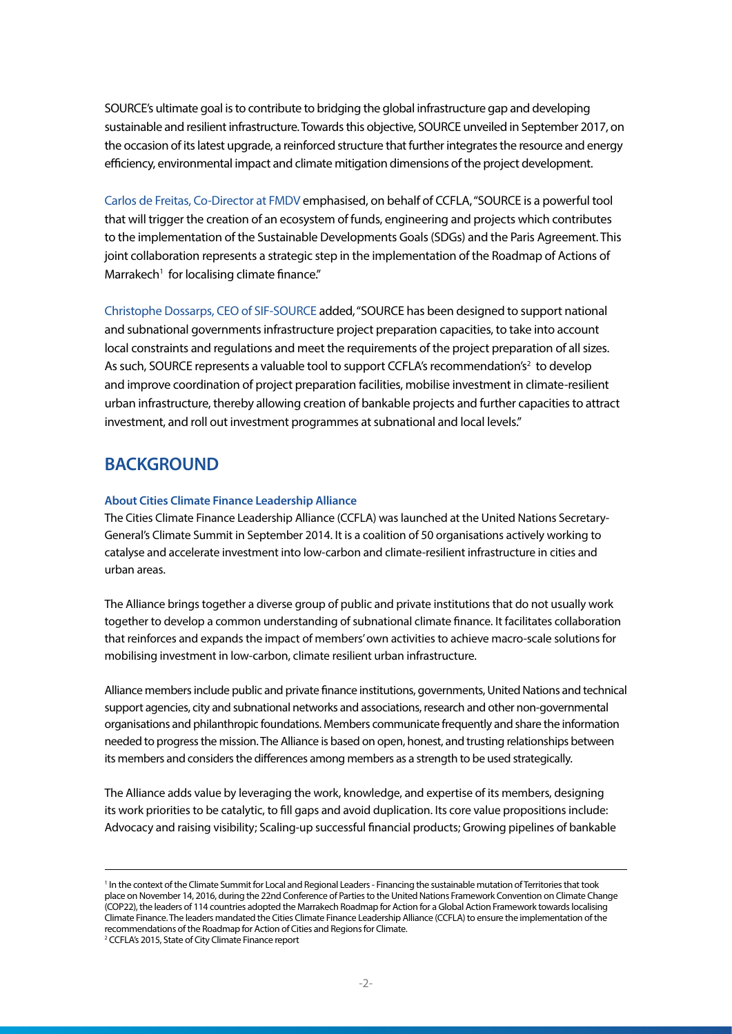SOURCE's ultimate goal is to contribute to bridging the global infrastructure gap and developing sustainable and resilient infrastructure. Towards this objective, SOURCE unveiled in September 2017, on the occasion of its latest upgrade, a reinforced structure that further integrates the resource and energy efficiency, environmental impact and climate mitigation dimensions of the project development.

Carlos de Freitas, Co-Director at FMDV emphasised, on behalf of CCFLA, "SOURCE is a powerful tool that will trigger the creation of an ecosystem of funds, engineering and projects which contributes to the implementation of the Sustainable Developments Goals (SDGs) and the Paris Agreement. This joint collaboration represents a strategic step in the implementation of the Roadmap of Actions of Marrakech<sup>1</sup> for localising climate finance."

Christophe Dossarps, CEO of SIF-SOURCE added, "SOURCE has been designed to support national and subnational governments infrastructure project preparation capacities, to take into account local constraints and regulations and meet the requirements of the project preparation of all sizes. As such, SOURCE represents a valuable tool to support CCFLA's recommendation's<sup>2</sup> to develop and improve coordination of project preparation facilities, mobilise investment in climate-resilient urban infrastructure, thereby allowing creation of bankable projects and further capacities to attract investment, and roll out investment programmes at subnational and local levels."

# **BACKGROUND**

### **About Cities Climate Finance Leadership Alliance**

The Cities Climate Finance Leadership Alliance (CCFLA) was launched at the United Nations Secretary-General's Climate Summit in September 2014. It is a coalition of 50 organisations actively working to catalyse and accelerate investment into low-carbon and climate-resilient infrastructure in cities and urban areas.

The Alliance brings together a diverse group of public and private institutions that do not usually work together to develop a common understanding of subnational climate finance. It facilitates collaboration that reinforces and expands the impact of members' own activities to achieve macro-scale solutions for mobilising investment in low-carbon, climate resilient urban infrastructure.

Alliance members include public and private finance institutions, governments, United Nations and technical support agencies, city and subnational networks and associations, research and other non-governmental organisations and philanthropic foundations. Members communicate frequently and share the information needed to progress the mission. The Alliance is based on open, honest, and trusting relationships between its members and considers the differences among members as a strength to be used strategically.

The Alliance adds value by leveraging the work, knowledge, and expertise of its members, designing its work priorities to be catalytic, to fill gaps and avoid duplication. Its core value propositions include: Advocacy and raising visibility; Scaling-up successful financial products; Growing pipelines of bankable

<sup>&</sup>lt;sup>1</sup> In the context of the Climate Summit for Local and Regional Leaders - Financing the sustainable mutation of Territories that took place on November 14, 2016, during the 22nd Conference of Parties to the United Nations Framework Convention on Climate Change (COP22), the leaders of 114 countries adopted the Marrakech Roadmap for Action for a Global Action Framework towards localising Climate Finance. The leaders mandated the Cities Climate Finance Leadership Alliance (CCFLA) to ensure the implementation of the recommendations of the Roadmap for Action of Cities and Regions for Climate.

<sup>2</sup> CCFLA's 2015, State of City Climate Finance report